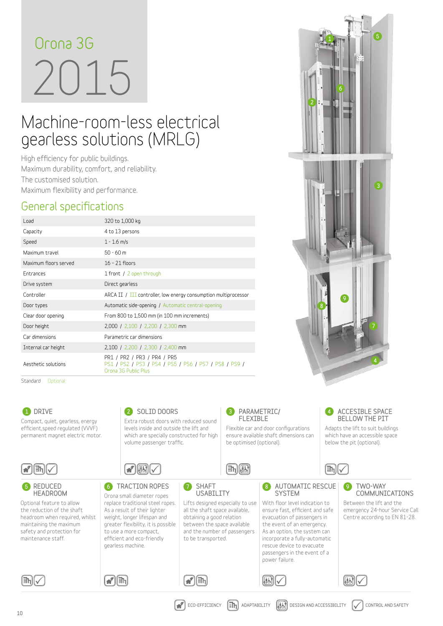# 2015 **Orona 3G**

# Machine-room-less electrical gearless solutions (MRLG)

**High efficiency for public buildings. Maximum durability, comfort, and reliability. The customised solution. Maximum flexibility and performance.**

#### **General specifications**

| Load                  | 320 to 1,000 kg                                                                                              |
|-----------------------|--------------------------------------------------------------------------------------------------------------|
| Capacity              | 4 to 13 persons                                                                                              |
| Speed                 | $1 - 1.6$ m/s                                                                                                |
| Maximum travel        | $50 - 60$ m                                                                                                  |
| Maximum floors served | $16 - 21$ floors                                                                                             |
| <b>Entrances</b>      | 1 front / 2 open through                                                                                     |
| Drive system          | Direct gearless                                                                                              |
| Controller            | ARCA II / III controller, low energy consumption multiprocessor                                              |
| Door types            | Automatic side-opening / Automatic central-opening                                                           |
| Clear door opening    | From 800 to 1,500 mm (in 100 mm increments)                                                                  |
| Door height           | 2,000 / 2,100 / 2,200 / 2,300 mm                                                                             |
| Car dimensions        | Parametric car dimensions                                                                                    |
| Internal car height   | 2,100 / 2,200 / 2,300 / 2,400 mm                                                                             |
| Aesthetic solutions   | PR1 / PR2 / PR3 / PR4 / PR5<br>PS1 / PS2 / PS3 / PS4 / PS5 / PS6 / PS7 / PS8 / PS9 /<br>Orona 3G Public Plus |

Standard Optional



 $1$   $\sqrt{1}$   $\sqrt{5}$ 

6

7

4

9

8

2